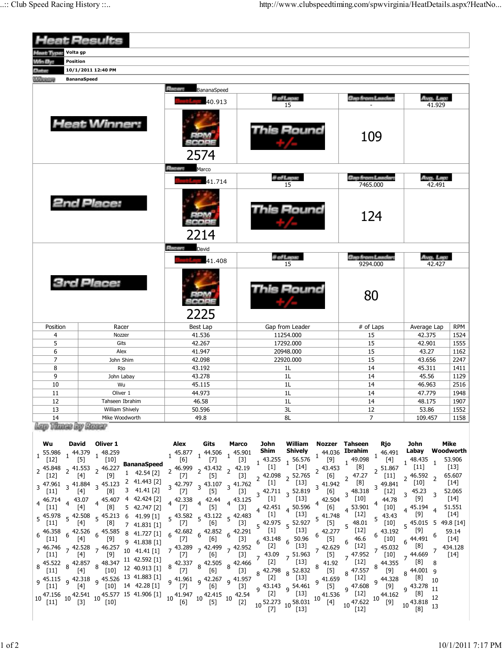|                              | <b>Heat Results</b>    |                         |                         |                                     |                     |            |  |
|------------------------------|------------------------|-------------------------|-------------------------|-------------------------------------|---------------------|------------|--|
| <b>Heat Type</b><br>Volta gp |                        |                         |                         |                                     |                     |            |  |
| Win By:<br>Position          |                        |                         |                         |                                     |                     |            |  |
| Datos                        | 10/1/2011 12:40 PM     |                         |                         |                                     |                     |            |  |
| <b>MARKETTE</b>              | <b>BananaSpeed</b>     |                         |                         |                                     |                     |            |  |
|                              |                        | Record<br>BananaSpeed   |                         |                                     |                     |            |  |
|                              |                        | 40.913                  | # of Laps:<br>15        | <b>Gap from Leader:</b>             | Avg. Lap:<br>41.929 |            |  |
|                              | <b>Heat Winner:</b>    | 2574                    | This Round              | 109                                 |                     |            |  |
|                              |                        | <b>Reserve</b><br>Marco |                         |                                     |                     |            |  |
|                              |                        | 41.714                  | <b># of Laps:</b><br>15 | <b>Gap from Leader:</b><br>7465.000 | Avg. Lap:<br>42.491 |            |  |
|                              | <b>2nd Place:</b>      | 2214                    | Round                   | 124                                 |                     |            |  |
|                              |                        | Receive<br>David        |                         |                                     |                     |            |  |
|                              |                        | 41.408                  | # of Laps:<br>15        | <b>Gap from Leader:</b><br>9294.000 | Avg. Lap:<br>42.427 |            |  |
|                              | <b>3rd Place:</b>      | 2225                    | This Round              | 80                                  |                     |            |  |
| Position                     | Racer                  | Best Lap                | Gap from Leader         | # of Laps                           | Average Lap         | <b>RPM</b> |  |
| $\overline{4}$               | Nozzer                 | 41.536                  | 11254.000               | 15                                  | 42.375              | 1524       |  |
| 5                            | Gits                   | 42.267                  | 17292.000               | 15                                  | 42.901              | 1555       |  |
| 6                            | Alex                   | 41.947                  | 20948.000               | 15                                  | 43.27               | 1162       |  |
| $\overline{7}$               | John Shim              | 42.098                  | 22920.000               | 15                                  | 43.656              | 2247       |  |
| 8                            | Rio                    | 43.192                  | 1 <sub>L</sub>          | 14                                  | 45.311              | 1411       |  |
| 9                            | John Labay             | 43.278                  | 1 <sub>L</sub>          | 14                                  | 45.56               | 1129       |  |
| 10                           | Wu                     | 45.115                  | 1L                      | 14                                  | 46.963              | 2516       |  |
| 11                           | Oliver 1               | 44.973                  | 1 <sub>L</sub>          | 14                                  | 47.779              | 1948       |  |
| 12                           | Tahseen Ibrahim        | 46.58                   | 1 <sub>L</sub>          | 14                                  | 48.175              | 1907       |  |
| 13                           | <b>William Shively</b> | 50.596                  | 3L                      | 12                                  | 53.86               | 1552       |  |
| 14<br><b>CLER</b>            | Mike Woodworth         | 49.8                    | 8L                      | $\overline{7}$                      | 109.457             | 1158       |  |

Lap Times by Kaner

| Wu     | David                                                                       | Oliver 1 |                                                                                                                                                                                                                                                                                                                                                              | Alex                                                                                                                                   | Gits                                                                                                                                                                              | Marco | John  | William                                                                                                                   | Nozzer                                        | Tahseen                                        | Rjo             | John                | <b>Mike</b>         |
|--------|-----------------------------------------------------------------------------|----------|--------------------------------------------------------------------------------------------------------------------------------------------------------------------------------------------------------------------------------------------------------------------------------------------------------------------------------------------------------------|----------------------------------------------------------------------------------------------------------------------------------------|-----------------------------------------------------------------------------------------------------------------------------------------------------------------------------------|-------|-------|---------------------------------------------------------------------------------------------------------------------------|-----------------------------------------------|------------------------------------------------|-----------------|---------------------|---------------------|
|        | 55.986 $\frac{44.379}{272}$ $\frac{48.259}{272}$                            |          |                                                                                                                                                                                                                                                                                                                                                              | $1 \begin{array}{c} 45.877 \\ 1 \end{array}$ $1 \begin{array}{c} 44.506 \\ 1 \end{array}$ $1 \begin{array}{c} 45.901 \\ 1 \end{array}$ |                                                                                                                                                                                   |       | Shim  | Shively                                                                                                                   |                                               | $_1$ 44.036 Ibrahim                            | 46.491          | Labay               | Woodworth           |
| $[12]$ | $[5]$                                                                       | $[10]$   |                                                                                                                                                                                                                                                                                                                                                              | $[6]$ <sup>1</sup>                                                                                                                     | $[7]$                                                                                                                                                                             | [3]   |       | $1\frac{43.255}{1}$ 1 56.576                                                                                              | [9]                                           | ,49.098                                        | $[4]$           |                     | 53.906              |
|        | $2^{45.848}$ $2^{41.553}$ $2^{46.227}$                                      |          | <b>BananaSpeed</b>                                                                                                                                                                                                                                                                                                                                           |                                                                                                                                        | $2^{46.999}$ $2^{43.432}$ $2^{42.19}$                                                                                                                                             |       | $[1]$ | $[14]$                                                                                                                    | $2^{43.453}$                                  | [8]                                            | 2 51.867        | $[11]$              | $[13]$              |
| $[12]$ | [4]                                                                         | [9]      | $1 \quad 42.54 [2]$                                                                                                                                                                                                                                                                                                                                          | $[7]$                                                                                                                                  | [5]                                                                                                                                                                               | [3]   |       | $\frac{1}{2}$ 42.098 $\frac{1}{2}$ 52.765 $\frac{2}{1}$                                                                   | [6]                                           | $2^{47.27}$                                    | $[11]$          | $2^{46.592}$        | 65.607              |
|        | $3\frac{47.961}{3}$ 3 41.884 $\frac{1}{3}$ 45.123                           |          | 2 41.443 [2]                                                                                                                                                                                                                                                                                                                                                 |                                                                                                                                        | $3\frac{42.797}{571}$ $3\frac{43.107}{571}$ $3\frac{41.762}{57}$                                                                                                                  |       | [1]   | $[13]$                                                                                                                    | , 41.942                                      | [8]                                            | $3^{49.841}$    | $[10]$              | $[14]$              |
| $[11]$ | $[4]$                                                                       | [8]      | $3$ 41.41 [2]                                                                                                                                                                                                                                                                                                                                                | $[7]$                                                                                                                                  | $\left[5\right]$                                                                                                                                                                  | [3]   |       | $3\frac{42.711}{3}$ 52.819                                                                                                | [6]                                           | $3^{48.318}$                                   | $[12]$          | 45.23               | 52.065              |
|        | $_4$ 46.714 $_4$ 43.07 $_4$ 45.407                                          |          | 4 42.424 [2]                                                                                                                                                                                                                                                                                                                                                 | 4 42.338 4 42.44 4 43.125 [1]                                                                                                          |                                                                                                                                                                                   |       |       | $[13]$                                                                                                                    | 4 42.504                                      | [10]                                           | 44.78           | [9]                 | $[14]$              |
| $[11]$ | [4]                                                                         | [8]      | 5 42.747 [2]                                                                                                                                                                                                                                                                                                                                                 | $\begin{bmatrix} 7 \end{bmatrix}$                                                                                                      | [5]                                                                                                                                                                               | $[3]$ |       | $4\frac{42.451}{12}$ 4 50.596                                                                                             | [6]                                           | 4 53.901                                       | $[10]$          | 4 45.194            | 51.551              |
|        | $\frac{1}{5}$ 45.978 $\frac{1}{5}$ 42.508 $\frac{1}{5}$ 45.213              |          | 6 41.99 [1]                                                                                                                                                                                                                                                                                                                                                  |                                                                                                                                        | $5\frac{43.582}{5}$ $5\frac{43.122}{5}$ $5\frac{42.483}{5}$                                                                                                                       |       | $[1]$ | $[13]$                                                                                                                    | 541.748                                       | $[12]$                                         | $5^{43.43}$     | [9]                 | $[14]$              |
| $[11]$ | [4]                                                                         | [8]      | 7 41.831 [1]                                                                                                                                                                                                                                                                                                                                                 | $\lfloor \ell \rfloor$                                                                                                                 | [6]                                                                                                                                                                               | [3]   |       | $5\frac{42.975}{10}$ 5 52.927                                                                                             | [5]                                           | $5^{48.01}$                                    | [10]            | $5^{45.015}$        |                     |
| $[11]$ | $6\frac{46.358}{1000}$ $6\frac{42.526}{1000}$ $6\frac{45.585}{1000}$        |          | 8 41.727 [1]                                                                                                                                                                                                                                                                                                                                                 |                                                                                                                                        | $6\begin{array}{cc} 42.682 \\ 6 \end{array}$ $6\begin{array}{cc} 42.852 \\ 6 \end{array}$ $6\begin{array}{cc} 42.291 \\ 6 \end{array}$ $\begin{array}{cc} [1] \\ [1] \end{array}$ |       |       | $[13]$                                                                                                                    | 42.277                                        | [12]<br>46.6                                   | 43.192          | [9]                 | 59.14<br>$[14]$     |
|        | $[4]$                                                                       | [9]      | 9 41.838 [1]                                                                                                                                                                                                                                                                                                                                                 |                                                                                                                                        | $\begin{bmatrix} 7 \end{bmatrix}$ $\begin{bmatrix} 6 \end{bmatrix}$                                                                                                               | $[3]$ | [2]   | $6\begin{array}{l} 43.148 \\ 52.16 \end{array}$ 6 50.96<br>$[13]$                                                         | [5]                                           | $[12]$                                         | [10]            | $6^{44.491}$<br>[8] |                     |
| [11]   | $\lceil 4 \rceil$                                                           | [9]      | 7 46.746 7 42.528 7 46.257 10 41.41 [1] 7 43.289 7 42.499 7 42.952                                                                                                                                                                                                                                                                                           | 7                                                                                                                                      | [6]                                                                                                                                                                               |       |       |                                                                                                                           | 7 42.629<br>$\begin{bmatrix} 5 \end{bmatrix}$ | 47.952                                         | ,45.032<br>[10] | ,44.669             | 7 434.128<br>$[14]$ |
|        |                                                                             |          | 11 42.592 [1]                                                                                                                                                                                                                                                                                                                                                | $8\frac{42.337}{571}\frac{8}{8}\frac{42.505}{571}\frac{8}{8}\frac{42.466}{571}\frac{2}{1}$                                             |                                                                                                                                                                                   |       |       | $[3]$ $[3, 43.09]$ $[51.963]$<br>$[13]$                                                                                   | 41.92                                         | $[12]$                                         |                 | [8]                 |                     |
| $[11]$ | $8\frac{45.522}{54.1}$ $8\frac{42.857}{53.1}$ $8\frac{48.347}{54.1}$<br>[4] |          | $[10]$ 12 40.913 [1]                                                                                                                                                                                                                                                                                                                                         | $[7]$                                                                                                                                  | [6]                                                                                                                                                                               |       |       | $[3]$ 8 42.798 8 52.832                                                                                                   | [5]                                           | $8^{47.557}$                                   | 8 44.355<br>[9] | $8^{44.001}$        |                     |
|        |                                                                             |          | 9 45.115 9 42.318 9 45.526 13 41.883 [1]                                                                                                                                                                                                                                                                                                                     |                                                                                                                                        | 9 41.961 9 42.267 9 41.957 [2]                                                                                                                                                    |       |       | $[13]$                                                                                                                    | 9 41.659                                      | [12]                                           | 9 44.328        | [8]                 |                     |
| $[11]$ | [4]                                                                         |          | $[10]$ 14 42.28 [1]                                                                                                                                                                                                                                                                                                                                          | $[7]$                                                                                                                                  | [6]                                                                                                                                                                               |       |       | $[3]$ $[3,143]$ $[5,143]$ $[5]$                                                                                           |                                               | $9^{47.608}$                                   | [9]             | $9^{43.278}$        |                     |
|        |                                                                             |          |                                                                                                                                                                                                                                                                                                                                                              |                                                                                                                                        |                                                                                                                                                                                   |       |       |                                                                                                                           |                                               | $[4]$ $10\frac{1+2}{10}$ $10\frac{44.162}{10}$ |                 | [8]                 |                     |
|        |                                                                             |          | $10\begin{array}{l}\n47.156 \\ 10 \\ 11\n\end{array}$ $10\begin{array}{l}\n42.541 \\ 10 \\ 10\n\end{array}$ $10\begin{array}{l}\n45.577 \\ 15\n\end{array}$ $41.906\n\begin{array}{l}\n11 \\ 10\n\end{array}$ $10\begin{array}{l}\n41.947 \\ 10\n\end{array}$ $10\begin{array}{l}\n42.415 \\ 15\n\end{array}$ $10\begin{array}{l}\n42.54 \\ 10\n\end{array}$ |                                                                                                                                        |                                                                                                                                                                                   |       |       | $[2] \quad 10 \frac{52.273}{171} \quad 10 \frac{1^{13} \text{J}}{10^{16} \text{cm}^2} \quad 10 \frac{41.536}{14} \quad .$ |                                               |                                                |                 | $[9]$ 10 43.818     |                     |
|        |                                                                             |          |                                                                                                                                                                                                                                                                                                                                                              |                                                                                                                                        |                                                                                                                                                                                   |       |       |                                                                                                                           |                                               | [12]                                           |                 |                     |                     |